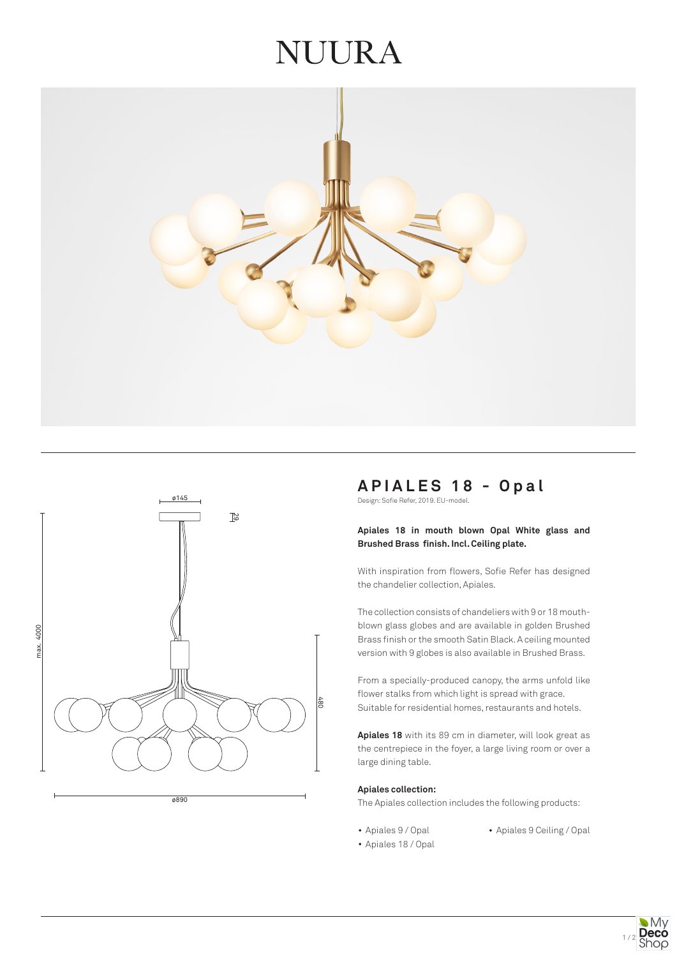# VUURA





ø890

# **APIALES 18 - Opal**

Design: Sofie Refer, 2019. EU-model.

# **Apiales 18 in mouth blown Opal White glass and Brushed Brass finish. Incl. Ceiling plate.**

With inspiration from flowers, Sofie Refer has designed the chandelier collection, Apiales.

The collection consists of chandeliers with 9 or 18 mouthblown glass globes and are available in golden Brushed Brass finish or the smooth Satin Black. A ceiling mounted version with 9 globes is also available in Brushed Brass.

From a specially-produced canopy, the arms unfold like flower stalks from which light is spread with grace. Suitable for residential homes, restaurants and hotels.

**Apiales 18** with its 89 cm in diameter, will look great as the centrepiece in the foyer, a large living room or over a large dining table.

#### **Apiales collection:**

The Apiales collection includes the following products:

- 
- Apiales 9 / Opal Apiales 9 Ceiling / Opal
- Apiales 18 / Opal